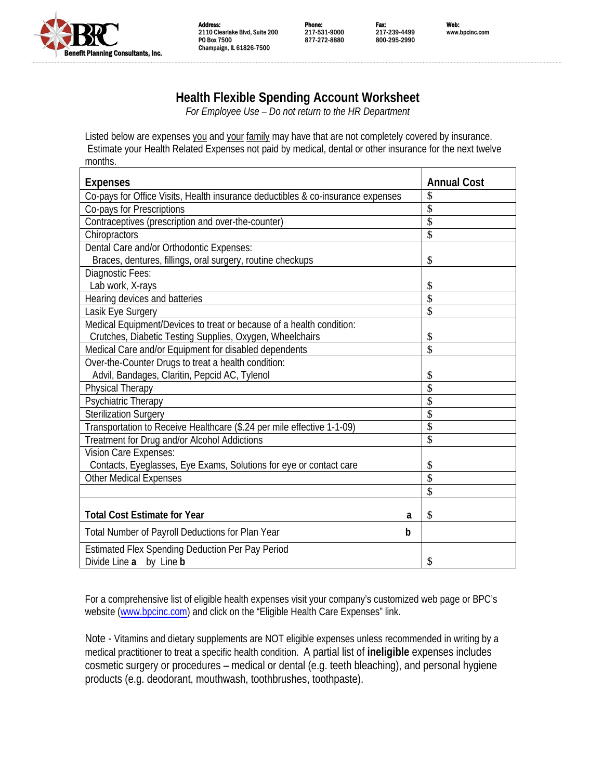

Address: Phone: Fax: Web: 2110 Clearlake Blvd, Suite 200 217-531-9000 217-239-4499 www.bpcinc.com PO Box 7500 877-272-8880 800-295-2990 Champaign, IL 61826-7500

## **Health Flexible Spending Account Worksheet**

*For Employee Use – Do not return to the HR Department* 

Listed below are expenses you and your family may have that are not completely covered by insurance. Estimate your Health Related Expenses not paid by medical, dental or other insurance for the next twelve months.

| <b>Expenses</b>                                                                 | <b>Annual Cost</b>      |
|---------------------------------------------------------------------------------|-------------------------|
| Co-pays for Office Visits, Health insurance deductibles & co-insurance expenses | \$                      |
| Co-pays for Prescriptions                                                       | \$                      |
| Contraceptives (prescription and over-the-counter)                              | \$                      |
| Chiropractors                                                                   | $\overline{\mathbf{s}}$ |
| Dental Care and/or Orthodontic Expenses:                                        |                         |
| Braces, dentures, fillings, oral surgery, routine checkups                      | \$                      |
| Diagnostic Fees:                                                                |                         |
| Lab work, X-rays                                                                | \$                      |
| Hearing devices and batteries                                                   | \$                      |
| Lasik Eye Surgery                                                               | \$                      |
| Medical Equipment/Devices to treat or because of a health condition:            |                         |
| Crutches, Diabetic Testing Supplies, Oxygen, Wheelchairs                        | \$                      |
| Medical Care and/or Equipment for disabled dependents                           | \$                      |
| Over-the-Counter Drugs to treat a health condition:                             |                         |
| Advil, Bandages, Claritin, Pepcid AC, Tylenol                                   | \$                      |
| <b>Physical Therapy</b>                                                         | \$                      |
| Psychiatric Therapy                                                             | \$                      |
| <b>Sterilization Surgery</b>                                                    | \$                      |
| Transportation to Receive Healthcare (\$.24 per mile effective 1-1-09)          | \$                      |
| Treatment for Drug and/or Alcohol Addictions                                    | \$                      |
| Vision Care Expenses:                                                           |                         |
| Contacts, Eyeglasses, Eye Exams, Solutions for eye or contact care              | \$                      |
| <b>Other Medical Expenses</b>                                                   | \$                      |
|                                                                                 | \$                      |
| <b>Total Cost Estimate for Year</b><br>a                                        | \$                      |
| Total Number of Payroll Deductions for Plan Year<br>b                           |                         |
| Estimated Flex Spending Deduction Per Pay Period                                |                         |
| Divide Line a by Line b                                                         | \$                      |

For a comprehensive list of eligible health expenses visit your company's customized web page or BPC's website (www.bpcinc.com) and click on the "Eligible Health Care Expenses" link.

Note - Vitamins and dietary supplements are NOT eligible expenses unless recommended in writing by a medical practitioner to treat a specific health condition. A partial list of **ineligible** expenses includes cosmetic surgery or procedures – medical or dental (e.g. teeth bleaching), and personal hygiene products (e.g. deodorant, mouthwash, toothbrushes, toothpaste).